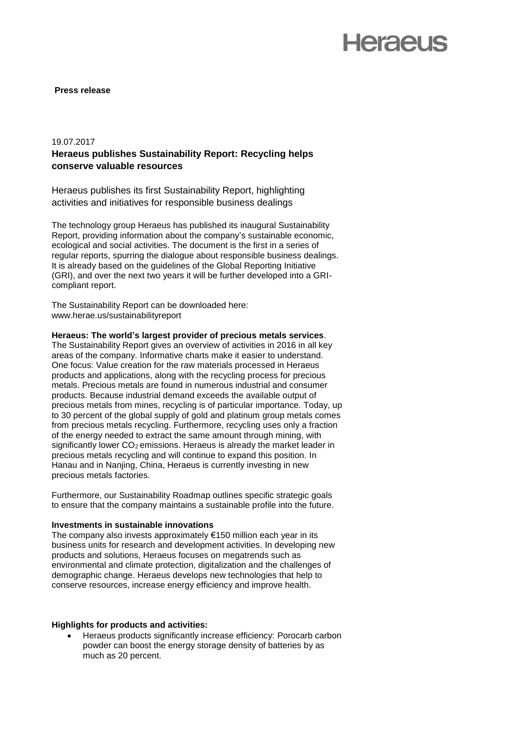## **Herael Is**

## **Press release**

## 19.07.2017

## **Heraeus publishes Sustainability Report: Recycling helps conserve valuable resources**

Heraeus publishes its first Sustainability Report, highlighting activities and initiatives for responsible business dealings

The technology group Heraeus has published its inaugural Sustainability Report, providing information about the company's sustainable economic, ecological and social activities. The document is the first in a series of regular reports, spurring the dialogue about responsible business dealings. It is already based on the guidelines of the Global Reporting Initiative (GRI), and over the next two years it will be further developed into a GRIcompliant report.

The Sustainability Report can be downloaded here: www.herae.us/sustainabilityreport

**Heraeus: The world's largest provider of precious metals services**. The Sustainability Report gives an overview of activities in 2016 in all key areas of the company. Informative charts make it easier to understand. One focus: Value creation for the raw materials processed in Heraeus products and applications, along with the recycling process for precious metals. Precious metals are found in numerous industrial and consumer products. Because industrial demand exceeds the available output of precious metals from mines, recycling is of particular importance. Today, up to 30 percent of the global supply of gold and platinum group metals comes from precious metals recycling. Furthermore, recycling uses only a fraction of the energy needed to extract the same amount through mining, with significantly lower  $CO<sub>2</sub>$  emissions. Heraeus is already the market leader in precious metals recycling and will continue to expand this position. In Hanau and in Nanjing, China, Heraeus is currently investing in new precious metals factories.

Furthermore, our Sustainability Roadmap outlines specific strategic goals to ensure that the company maintains a sustainable profile into the future.

## **Investments in sustainable innovations**

The company also invests approximately €150 million each year in its business units for research and development activities. In developing new products and solutions, Heraeus focuses on megatrends such as environmental and climate protection, digitalization and the challenges of demographic change. Heraeus develops new technologies that help to conserve resources, increase energy efficiency and improve health.

## **Highlights for products and activities:**

 Heraeus products significantly increase efficiency: Porocarb carbon powder can boost the energy storage density of batteries by as much as 20 percent.